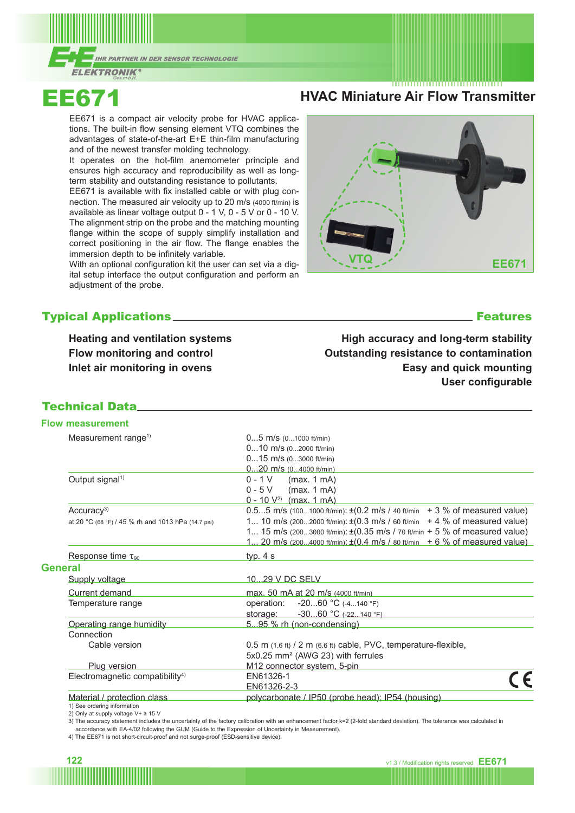



EE671 is a compact air velocity probe for HVAC applications. The built-in flow sensing element VTQ combines the advantages of state-of-the-art E+E thin-film manufacturing and of the newest transfer molding technology.

It operates on the hot-film anemometer principle and ensures high accuracy and reproducibility as well as longterm stability and outstanding resistance to pollutants.

EE671 is available with fix installed cable or with plug connection. The measured air velocity up to 20 m/s (4000 ft/min) is available as linear voltage output 0 - 1 V, 0 - 5 V or 0 - 10 V. The alignment strip on the probe and the matching mounting flange within the scope of supply simplify installation and correct positioning in the air flow. The flange enables the immersion depth to be infinitely variable.

With an optional configuration kit the user can set via a digital setup interface the output configuration and perform an adjustment of the probe.

# Typical Applications Features

**Heating and ventilation systems Flow monitoring and control Inlet air monitoring in ovens**

**High accuracy and long-term stability Outstanding resistance to contamination Easy and quick mounting User configurable**

## Technical Data

### **Flow measurement**

|                | Measurement range <sup>1)</sup>                            | $05$ m/s $(01000$ ft/min)                                                                                 |
|----------------|------------------------------------------------------------|-----------------------------------------------------------------------------------------------------------|
|                |                                                            | $010$ m/s $(02000$ ft/min)                                                                                |
|                |                                                            | $015$ m/s $(03000$ ft/min)                                                                                |
|                |                                                            | $020$ m/s $(04000$ ft/min)                                                                                |
|                | Output signal <sup>1)</sup>                                | $0 - 1$ V (max. 1 mA)                                                                                     |
|                |                                                            | (max. 1 mA)<br>$0 - 5V$                                                                                   |
|                |                                                            | $0 - 10 V^{2}$ (max. 1 mA)                                                                                |
|                | Accuracy <sup>3)</sup>                                     | $0.55$ m/s (1001000 ft/min): $\pm (0.2 \text{ m/s} / 40 \text{ ft/min} + 3 \% \text{ of measured value})$ |
|                | at 20 °C (68 °F) / 45 % rh and 1013 hPa (14.7 psi)         | 1 10 m/s (2002000 ft/min): $\pm (0.3 \text{ m/s} / 60 \text{ ft/min} + 4 \% \text{ of measured value})$   |
|                |                                                            | 1 15 m/s (2003000 ft/min): ±(0.35 m/s / 70 ft/min + 5 % of measured value)                                |
|                |                                                            | 1 20 m/s (2004000 ft/min): $\pm (0.4 \text{ m/s} / 80 \text{ ft/min} + 6 \% \text{ of measured value})$   |
|                | Response time $\tau_{90}$                                  | typ. $4 s$                                                                                                |
| <b>General</b> |                                                            |                                                                                                           |
|                | Supply voltage                                             | 1029 V DC SELV                                                                                            |
|                | Current demand                                             | max. 50 mA at 20 m/s (4000 ft/min)                                                                        |
|                | Temperature range                                          | operation: -2060 °C (-4140 °F)                                                                            |
|                |                                                            | storage: $-3060 °C (-22140 °F)$                                                                           |
|                | Operating range humidity                                   | 595 % rh (non-condensing)                                                                                 |
|                | Connection                                                 |                                                                                                           |
|                | Cable version                                              | $0.5$ m $(1.6 \text{ ft})$ / 2 m $(6.6 \text{ ft})$ cable, PVC, temperature-flexible,                     |
|                |                                                            | 5x0.25 mm <sup>2</sup> (AWG 23) with ferrules                                                             |
|                | <b>Plug version</b>                                        | M12 connector system, 5-pin                                                                               |
|                | Electromagnetic compatibility <sup>4)</sup>                | EN61326-1                                                                                                 |
|                |                                                            | EN61326-2-3                                                                                               |
|                | Material / protection class<br>1) See ordering information | polycarbonate / IP50 (probe head); IP54 (housing)                                                         |

2) Only at supply voltage V+ ≥ 15 V

3) The accuracy statement includes the uncertainty of the factory calibration with an enhancement factor k=2 (2-fold standard deviation). The tolerance was calculated in

accordance with EA-4/02 following the GUM (Guide to the Expression of Uncertainty in Measurement).

4) The EE671 is not short-circuit-proof and not surge-proof (ESD-sensitive device).





# **EE671 HVAC Miniature Air Flow Transmitter**